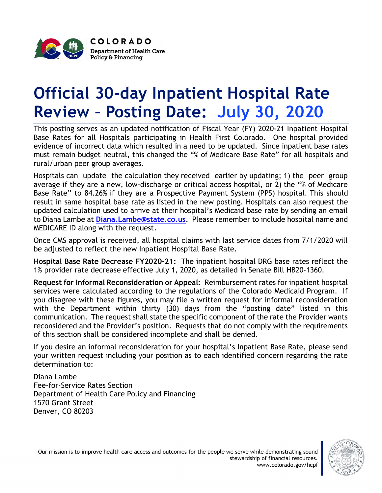

## Official 30-day Inpatient Hospital Rate Review – Posting Date: July 30, 2020

This posting serves as an updated notification of Fiscal Year (FY) 2020-21 Inpatient Hospital Base Rates for all Hospitals participating in Health First Colorado. One hospital provided evidence of incorrect data which resulted in a need to be updated. Since inpatient base rates must remain budget neutral, this changed the "% of Medicare Base Rate" for all hospitals and rural/urban peer group averages.

Hospitals can update the calculation they received earlier by updating; 1) the peer group average if they are a new, low-discharge or critical access hospital, or 2) the "% of Medicare Base Rate" to 84.26% if they are a Prospective Payment System (PPS) hospital. This should result in same hospital base rate as listed in the new posting. Hospitals can also request the updated calculation used to arrive at their hospital's Medicaid base rate by sending an email to Diana Lambe at Diana. Lambe@state.co.us. Please remember to include hospital name and MEDICARE ID along with the request.

Once CMS approval is received, all hospital claims with last service dates from 7/1/2020 will be adjusted to reflect the new Inpatient Hospital Base Rate.

Hospital Base Rate Decrease FY2020-21: The inpatient hospital DRG base rates reflect the 1% provider rate decrease effective July 1, 2020, as detailed in Senate Bill HB20-1360.

Request for Informal Reconsideration or Appeal: Reimbursement rates for inpatient hospital services were calculated according to the regulations of the Colorado Medicaid Program. If you disagree with these figures, you may file a written request for informal reconsideration with the Department within thirty (30) days from the "posting date" listed in this communication. The request shall state the specific component of the rate the Provider wants reconsidered and the Provider's position. Requests that do not comply with the requirements of this section shall be considered incomplete and shall be denied.

If you desire an informal reconsideration for your hospital's Inpatient Base Rate, please send your written request including your position as to each identified concern regarding the rate determination to:

Diana Lambe Fee-for-Service Rates Section Department of Health Care Policy and Financing 1570 Grant Street Denver, CO 80203

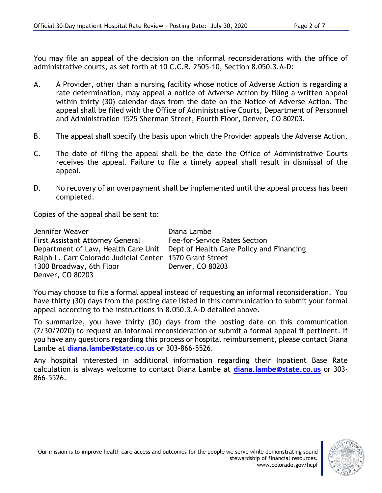You may file an appeal of the decision on the informal reconsiderations with the office of administrative courts, as set forth at 10 C.C.R. 2505-10, Section 8.050.3.A-D:

- A. A Provider, other than a nursing facility whose notice of Adverse Action is regarding a rate determination, may appeal a notice of Adverse Action by filing a written appeal within thirty (30) calendar days from the date on the Notice of Adverse Action. The appeal shall be filed with the Office of Administrative Courts, Department of Personnel and Administration 1525 Sherman Street, Fourth Floor, Denver, CO 80203.
- B. The appeal shall specify the basis upon which the Provider appeals the Adverse Action.
- C. The date of filing the appeal shall be the date the Office of Administrative Courts receives the appeal. Failure to file a timely appeal shall result in dismissal of the appeal.
- D. No recovery of an overpayment shall be implemented until the appeal process has been completed.

Copies of the appeal shall be sent to:

| Jennifer Weaver                                          | Diana Lambe                                                                  |
|----------------------------------------------------------|------------------------------------------------------------------------------|
| <b>First Assistant Attorney General</b>                  | Fee-for-Service Rates Section                                                |
|                                                          | Department of Law, Health Care Unit Dept of Health Care Policy and Financing |
| Ralph L. Carr Colorado Judicial Center 1570 Grant Street |                                                                              |
| 1300 Broadway, 6th Floor                                 | Denver, CO 80203                                                             |
| Denver, CO 80203                                         |                                                                              |

You may choose to file a formal appeal instead of requesting an informal reconsideration. You have thirty (30) days from the posting date listed in this communication to submit your formal appeal according to the instructions in 8.050.3.A-D detailed above.

To summarize, you have thirty (30) days from the posting date on this communication (7/30/2020) to request an informal reconsideration or submit a formal appeal if pertinent. If you have any questions regarding this process or hospital reimbursement, please contact Diana Lambe at diana.lambe@state.co.us or 303-866-5526.

Any hospital interested in additional information regarding their Inpatient Base Rate calculation is always welcome to contact Diana Lambe at diana.lambe@state.co.us or 303-866-5526.

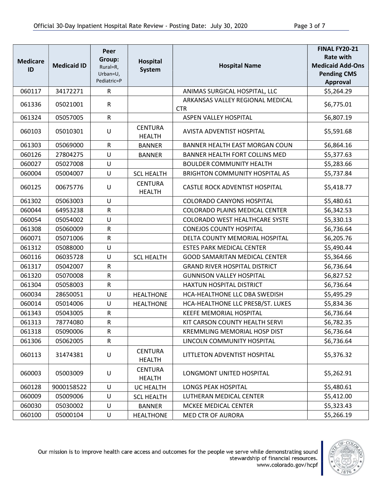| <b>Medicare</b> |                    | Peer<br>Group:          | Hospital                        |                                       | <b>FINAL FY20-21</b><br><b>Rate with</b> |
|-----------------|--------------------|-------------------------|---------------------------------|---------------------------------------|------------------------------------------|
| ID              | <b>Medicaid ID</b> | Rural=R,                | <b>System</b>                   | <b>Hospital Name</b>                  | <b>Medicaid Add-Ons</b>                  |
|                 |                    | Urban=U,<br>Pediatric=P |                                 |                                       | <b>Pending CMS</b><br><b>Approval</b>    |
| 060117          | 34172271           | $\mathsf{R}$            |                                 | ANIMAS SURGICAL HOSPITAL, LLC         | \$5,264.29                               |
|                 |                    |                         |                                 | ARKANSAS VALLEY REGIONAL MEDICAL      |                                          |
| 061336          | 05021001           | ${\sf R}$               |                                 | <b>CTR</b>                            | \$6,775.01                               |
| 061324          | 05057005           | ${\sf R}$               |                                 | ASPEN VALLEY HOSPITAL                 | \$6,807.19                               |
| 060103          | 05010301           | U                       | <b>CENTURA</b><br><b>HEALTH</b> | <b>AVISTA ADVENTIST HOSPITAL</b>      | \$5,591.68                               |
| 061303          | 05069000           | $\mathsf{R}$            | <b>BANNER</b>                   | BANNER HEALTH EAST MORGAN COUN        | \$6,864.16                               |
| 060126          | 27804275           | U                       | <b>BANNER</b>                   | BANNER HEALTH FORT COLLINS MED        | \$5,377.63                               |
| 060027          | 05027008           | U                       |                                 | <b>BOULDER COMMUNITY HEALTH</b>       | \$5,283.66                               |
| 060004          | 05004007           | $\sf U$                 | <b>SCL HEALTH</b>               | <b>BRIGHTON COMMUNITY HOSPITAL AS</b> | \$5,737.84                               |
| 060125          | 00675776           | U                       | <b>CENTURA</b><br><b>HEALTH</b> | CASTLE ROCK ADVENTIST HOSPITAL        | \$5,418.77                               |
| 061302          | 05063003           | U                       |                                 | <b>COLORADO CANYONS HOSPITAL</b>      | \$5,480.61                               |
| 060044          | 64953238           | ${\sf R}$               |                                 | COLORADO PLAINS MEDICAL CENTER        | \$6,342.53                               |
| 060054          | 05054002           | U                       |                                 | COLORADO WEST HEALTHCARE SYSTE        | \$5,330.13                               |
| 061308          | 05060009           | ${\sf R}$               |                                 | <b>CONEJOS COUNTY HOSPITAL</b>        | \$6,736.64                               |
| 060071          | 05071006           | ${\sf R}$               |                                 | DELTA COUNTY MEMORIAL HOSPITAL        | \$6,205.76                               |
| 061312          | 05088000           | U                       |                                 | <b>ESTES PARK MEDICAL CENTER</b>      | \$5,490.44                               |
| 060116          | 06035728           | U                       | <b>SCL HEALTH</b>               | <b>GOOD SAMARITAN MEDICAL CENTER</b>  | \$5,364.66                               |
| 061317          | 05042007           | ${\sf R}$               |                                 | <b>GRAND RIVER HOSPITAL DISTRICT</b>  | \$6,736.64                               |
| 061320          | 05070008           | ${\sf R}$               |                                 | <b>GUNNISON VALLEY HOSPITAL</b>       | \$6,827.52                               |
| 061304          | 05058003           | ${\sf R}$               |                                 | HAXTUN HOSPITAL DISTRICT              | \$6,736.64                               |
| 060034          | 28650051           | U                       | <b>HEALTHONE</b>                | HCA-HEALTHONE LLC DBA SWEDISH         | \$5,495.29                               |
| 060014          | 05014006           | U                       | <b>HEALTHONE</b>                | HCA-HEALTHONE LLC PRESB/ST. LUKES     | \$5,834.36                               |
| 061343          | 05043005           | ${\sf R}$               |                                 | <b>KEEFE MEMORIAL HOSPITAL</b>        | \$6,736.64                               |
| 061313          | 78774080           | R                       |                                 | KIT CARSON COUNTY HEALTH SERVI        | \$6,782.35                               |
| 061318          | 05090006           | R                       |                                 | <b>KREMMLING MEMORIAL HOSP DIST</b>   | \$6,736.64                               |
| 061306          | 05062005           | ${\sf R}$               |                                 | LINCOLN COMMUNITY HOSPITAL            | \$6,736.64                               |
| 060113          | 31474381           | U                       | <b>CENTURA</b><br><b>HEALTH</b> | LITTLETON ADVENTIST HOSPITAL          | \$5,376.32                               |
| 060003          | 05003009           | U                       | <b>CENTURA</b><br><b>HEALTH</b> | LONGMONT UNITED HOSPITAL              | \$5,262.91                               |
| 060128          | 9000158522         | U                       | UC HEALTH                       | <b>LONGS PEAK HOSPITAL</b>            | \$5,480.61                               |
| 060009          | 05009006           | U                       | <b>SCL HEALTH</b>               | LUTHERAN MEDICAL CENTER               | \$5,412.00                               |
| 060030          | 05030002           | U                       | <b>BANNER</b>                   | MCKEE MEDICAL CENTER                  | \$5,323.43                               |
| 060100          | 05000104           | $\sf U$                 | <b>HEALTHONE</b>                | <b>MED CTR OF AURORA</b>              | \$5,266.19                               |

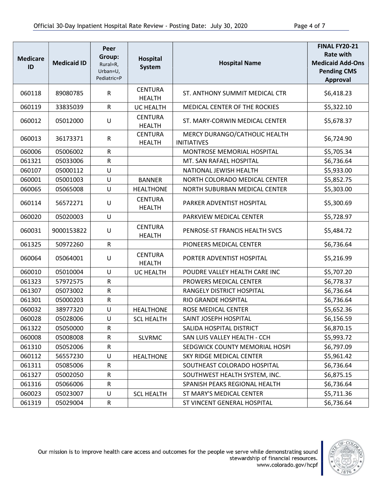| <b>Medicare</b><br>ID | <b>Medicaid ID</b> | Peer<br>Group:<br>Rural=R,<br>Urban=U,<br>Pediatric=P | <b>Hospital</b><br><b>System</b> | <b>Hospital Name</b>                                | <b>FINAL FY20-21</b><br><b>Rate with</b><br><b>Medicaid Add-Ons</b><br><b>Pending CMS</b><br><b>Approval</b> |
|-----------------------|--------------------|-------------------------------------------------------|----------------------------------|-----------------------------------------------------|--------------------------------------------------------------------------------------------------------------|
| 060118                | 89080785           | $\mathsf{R}$                                          | <b>CENTURA</b><br><b>HEALTH</b>  | ST. ANTHONY SUMMIT MEDICAL CTR                      | \$6,418.23                                                                                                   |
| 060119                | 33835039           | R                                                     | <b>UC HEALTH</b>                 | MEDICAL CENTER OF THE ROCKIES                       | \$5,322.10                                                                                                   |
| 060012                | 05012000           | U                                                     | <b>CENTURA</b><br><b>HEALTH</b>  | ST. MARY-CORWIN MEDICAL CENTER                      | \$5,678.37                                                                                                   |
| 060013                | 36173371           | $\mathsf R$                                           | <b>CENTURA</b><br><b>HEALTH</b>  | MERCY DURANGO/CATHOLIC HEALTH<br><b>INITIATIVES</b> | \$6,724.90                                                                                                   |
| 060006                | 05006002           | ${\sf R}$                                             |                                  | MONTROSE MEMORIAL HOSPITAL                          | \$5,705.34                                                                                                   |
| 061321                | 05033006           | ${\sf R}$                                             |                                  | MT. SAN RAFAEL HOSPITAL                             | \$6,736.64                                                                                                   |
| 060107                | 05000112           | U                                                     |                                  | NATIONAL JEWISH HEALTH                              | \$5,933.00                                                                                                   |
| 060001                | 05001003           | U                                                     | <b>BANNER</b>                    | NORTH COLORADO MEDICAL CENTER                       | \$5,852.75                                                                                                   |
| 060065                | 05065008           | U                                                     | <b>HEALTHONE</b>                 | NORTH SUBURBAN MEDICAL CENTER                       | \$5,303.00                                                                                                   |
| 060114                | 56572271           | U                                                     | <b>CENTURA</b><br><b>HEALTH</b>  | PARKER ADVENTIST HOSPITAL                           | \$5,300.69                                                                                                   |
| 060020                | 05020003           | U                                                     |                                  | PARKVIEW MEDICAL CENTER                             | \$5,728.97                                                                                                   |
| 060031                | 9000153822         | U                                                     | <b>CENTURA</b><br><b>HEALTH</b>  | PENROSE-ST FRANCIS HEALTH SVCS                      | \$5,484.72                                                                                                   |
| 061325                | 50972260           | $\mathsf{R}$                                          |                                  | PIONEERS MEDICAL CENTER                             | \$6,736.64                                                                                                   |
| 060064                | 05064001           | U                                                     | <b>CENTURA</b><br><b>HEALTH</b>  | PORTER ADVENTIST HOSPITAL                           | \$5,216.99                                                                                                   |
| 060010                | 05010004           | U                                                     | <b>UC HEALTH</b>                 | POUDRE VALLEY HEALTH CARE INC                       | \$5,707.20                                                                                                   |
| 061323                | 57972575           | ${\sf R}$                                             |                                  | PROWERS MEDICAL CENTER                              | \$6,778.37                                                                                                   |
| 061307                | 05073002           | ${\sf R}$                                             |                                  | RANGELY DISTRICT HOSPITAL                           | \$6,736.64                                                                                                   |
| 061301                | 05000203           | ${\sf R}$                                             |                                  | RIO GRANDE HOSPITAL                                 | \$6,736.64                                                                                                   |
| 060032                | 38977320           | $\cup$                                                | <b>HEALTHONE</b>                 | ROSE MEDICAL CENTER                                 | \$5,652.36                                                                                                   |
| 060028                | 05028006           | U                                                     | <b>SCL HEALTH</b>                | SAINT JOSEPH HOSPITAL                               | \$6,156.59                                                                                                   |
| 061322                | 05050000           | R                                                     |                                  | SALIDA HOSPITAL DISTRICT                            | \$6,870.15                                                                                                   |
| 060008                | 05008008           | ${\sf R}$                                             | <b>SLVRMC</b>                    | SAN LUIS VALLEY HEALTH - CCH                        | \$5,993.72                                                                                                   |
| 061310                | 05052006           | ${\sf R}$                                             |                                  | SEDGWICK COUNTY MEMORIAL HOSPI                      | \$6,797.09                                                                                                   |
| 060112                | 56557230           | U                                                     | <b>HEALTHONE</b>                 | SKY RIDGE MEDICAL CENTER                            | \$5,961.42                                                                                                   |
| 061311                | 05085006           | ${\sf R}$                                             |                                  | SOUTHEAST COLORADO HOSPITAL                         | \$6,736.64                                                                                                   |
| 061327                | 05002050           | ${\sf R}$                                             |                                  | SOUTHWEST HEALTH SYSTEM, INC.                       | \$6,875.15                                                                                                   |
| 061316                | 05066006           | ${\sf R}$                                             |                                  | SPANISH PEAKS REGIONAL HEALTH                       | \$6,736.64                                                                                                   |
| 060023                | 05023007           | U                                                     | <b>SCL HEALTH</b>                | ST MARY'S MEDICAL CENTER                            | \$5,711.36                                                                                                   |
| 061319                | 05029004           | ${\sf R}$                                             |                                  | ST VINCENT GENERAL HOSPITAL                         | \$6,736.64                                                                                                   |

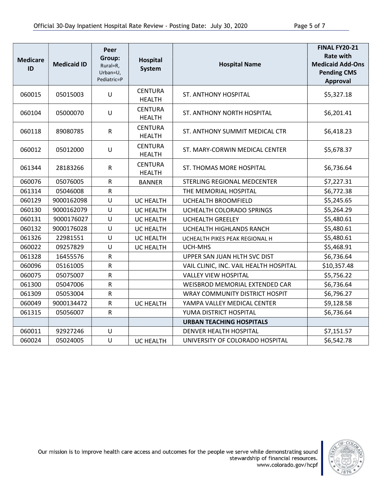| <b>Medicare</b><br>ID | <b>Medicaid ID</b> | Peer<br>Group:<br>Rural=R,<br>Urban=U,<br>Pediatric=P | <b>Hospital</b><br>System       | <b>Hospital Name</b>                   | <b>FINAL FY20-21</b><br><b>Rate with</b><br><b>Medicaid Add-Ons</b><br><b>Pending CMS</b><br><b>Approval</b> |
|-----------------------|--------------------|-------------------------------------------------------|---------------------------------|----------------------------------------|--------------------------------------------------------------------------------------------------------------|
| 060015                | 05015003           | U                                                     | <b>CENTURA</b><br><b>HEALTH</b> | ST. ANTHONY HOSPITAL                   | \$5,327.18                                                                                                   |
| 060104                | 05000070           | $\cup$                                                | <b>CENTURA</b><br><b>HEALTH</b> | ST. ANTHONY NORTH HOSPITAL             | \$6,201.41                                                                                                   |
| 060118                | 89080785           | ${\sf R}$                                             | <b>CENTURA</b><br><b>HEALTH</b> | ST. ANTHONY SUMMIT MEDICAL CTR         | \$6,418.23                                                                                                   |
| 060012                | 05012000           | U                                                     | <b>CENTURA</b><br><b>HEALTH</b> | ST. MARY-CORWIN MEDICAL CENTER         | \$5,678.37                                                                                                   |
| 061344                | 28183266           | ${\sf R}$                                             | <b>CENTURA</b><br><b>HEALTH</b> | ST. THOMAS MORE HOSPITAL               | \$6,736.64                                                                                                   |
| 060076                | 05076005           | $\mathsf{R}$                                          | <b>BANNER</b>                   | STERLING REGIONAL MEDCENTER            | \$7,227.31                                                                                                   |
| 061314                | 05046008           | ${\sf R}$                                             |                                 | THE MEMORIAL HOSPITAL                  | \$6,772.38                                                                                                   |
| 060129                | 9000162098         | U                                                     | <b>UC HEALTH</b>                | UCHEALTH BROOMFIELD                    | \$5,245.65                                                                                                   |
| 060130                | 9000162079         | U                                                     | UC HEALTH                       | UCHEALTH COLORADO SPRINGS              | \$5,264.29                                                                                                   |
| 060131                | 9000176027         | U                                                     | <b>UC HEALTH</b>                | <b>UCHEALTH GREELEY</b>                | \$5,480.61                                                                                                   |
| 060132                | 9000176028         | U                                                     | <b>UC HEALTH</b>                | UCHEALTH HIGHLANDS RANCH               | \$5,480.61                                                                                                   |
| 061326                | 22981551           | U                                                     | UC HEALTH                       | UCHEALTH PIKES PEAK REGIONAL H         | \$5,480.61                                                                                                   |
| 060022                | 09257829           | U                                                     | UC HEALTH                       | UCH-MHS                                | \$5,468.91                                                                                                   |
| 061328                | 16455576           | ${\sf R}$                                             |                                 | UPPER SAN JUAN HLTH SVC DIST           | \$6,736.64                                                                                                   |
| 060096                | 05161005           | ${\sf R}$                                             |                                 | VAIL CLINIC, INC. VAIL HEALTH HOSPITAL | \$10,357.48                                                                                                  |
| 060075                | 05075007           | ${\sf R}$                                             |                                 | <b>VALLEY VIEW HOSPITAL</b>            | \$5,756.22                                                                                                   |
| 061300                | 05047006           | ${\sf R}$                                             |                                 | WEISBROD MEMORIAL EXTENDED CAR         | \$6,736.64                                                                                                   |
| 061309                | 05053004           | ${\sf R}$                                             |                                 | <b>WRAY COMMUNITY DISTRICT HOSPIT</b>  | \$6,796.27                                                                                                   |
| 060049                | 9000134472         | ${\sf R}$                                             | <b>UC HEALTH</b>                | YAMPA VALLEY MEDICAL CENTER            | \$9,128.58                                                                                                   |
| 061315                | 05056007           | $\mathsf{R}$                                          |                                 | YUMA DISTRICT HOSPITAL                 | \$6,736.64                                                                                                   |
|                       |                    |                                                       |                                 | <b>URBAN TEACHING HOSPITALS</b>        |                                                                                                              |
| 060011                | 92927246           | U                                                     |                                 | DENVER HEALTH HOSPITAL                 | \$7,151.57                                                                                                   |
| 060024                | 05024005           | U                                                     | UC HEALTH                       | UNIVERSITY OF COLORADO HOSPITAL        | \$6,542.78                                                                                                   |

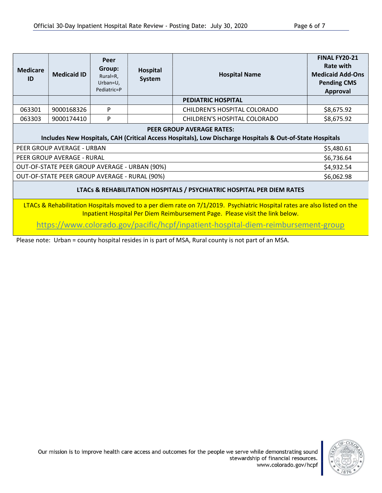| <b>Medicare</b><br>ID                                                                                                                         | <b>Medicaid ID</b> | Peer<br>Group:<br>Rural=R,<br>Urban=U,<br>Pediatric=P | Hospital<br>System | <b>Hospital Name</b>         | <b>FINAL FY20-21</b><br>Rate with<br><b>Medicaid Add-Ons</b><br><b>Pending CMS</b><br>Approval |
|-----------------------------------------------------------------------------------------------------------------------------------------------|--------------------|-------------------------------------------------------|--------------------|------------------------------|------------------------------------------------------------------------------------------------|
|                                                                                                                                               |                    |                                                       |                    | <b>PEDIATRIC HOSPITAL</b>    |                                                                                                |
| 063301                                                                                                                                        | 9000168326         | P                                                     |                    | CHILDREN'S HOSPITAL COLORADO | \$8,675.92                                                                                     |
| 063303                                                                                                                                        | 9000174410         | P                                                     |                    | CHILDREN'S HOSPITAL COLORADO | \$8,675.92                                                                                     |
| <b>PEER GROUP AVERAGE RATES:</b><br>Includes New Hospitals, CAH (Critical Access Hospitals), Low Discharge Hospitals & Out-of-State Hospitals |                    |                                                       |                    |                              |                                                                                                |
| PEER GROUP AVERAGE - URBAN                                                                                                                    |                    |                                                       | \$5,480.61         |                              |                                                                                                |

| 'PEER GROUP AVERAGE - RURAL                   | \$6,736.64 |
|-----------------------------------------------|------------|
| OUT-OF-STATE PEER GROUP AVERAGE - URBAN (90%) | \$4,932.54 |
| OUT-OF-STATE PEER GROUP AVERAGE - RURAL (90%) | \$6,062.98 |

## LTACs & REHABILITATION HOSPITALS / PSYCHIATRIC HOSPITAL PER DIEM RATES

LTACs & Rehabilitation Hospitals moved to a per diem rate on 7/1/2019. Psychiatric Hospital rates are also listed on the Inpatient Hospital Per Diem Reimbursement Page. Please visit the link below.

https://www.colorado.gov/pacific/hcpf/inpatient-hospital-diem-reimbursement-group

Please note: Urban = county hospital resides in is part of MSA, Rural county is not part of an MSA.